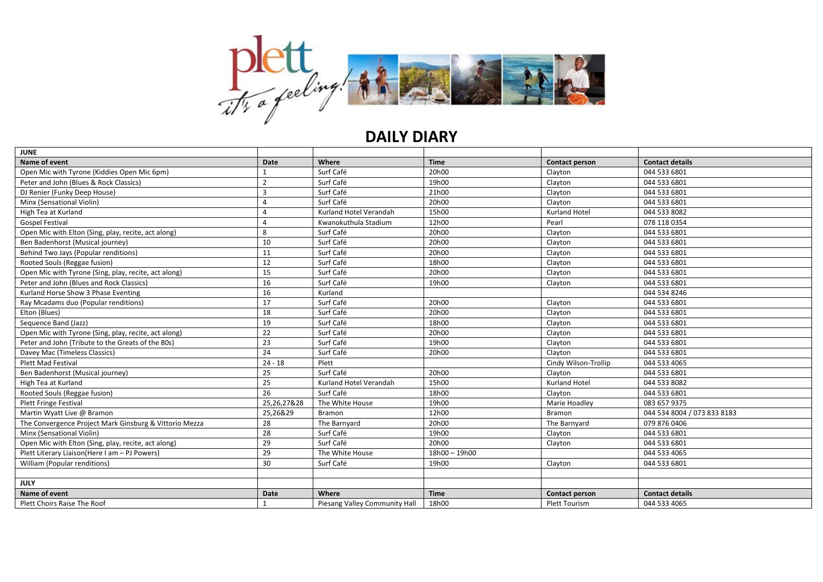

## **DAILY DIARY**

| <b>JUNE</b>                                            |                |                               |                 |                      |                             |
|--------------------------------------------------------|----------------|-------------------------------|-----------------|----------------------|-----------------------------|
| Name of event                                          | <b>Date</b>    | Where                         | <b>Time</b>     | Contact person       | <b>Contact details</b>      |
| Open Mic with Tyrone (Kiddies Open Mic 6pm)            |                | Surf Café                     | 20h00           | Clayton              | 044 533 6801                |
| Peter and John (Blues & Rock Classics)                 | $\overline{2}$ | Surf Café                     | 19h00           | Clayton              | 044 533 6801                |
| DJ Renier (Funky Deep House)                           | 3              | Surf Café                     | 21h00           | Clayton              | 044 533 6801                |
| Minx (Sensational Violin)                              | Δ              | Surf Café                     | 20h00           | Clayton              | 044 533 6801                |
| High Tea at Kurland                                    | Δ              | Kurland Hotel Verandah        | 15h00           | Kurland Hotel        | 044 533 8082                |
| <b>Gospel Festival</b>                                 | 4              | Kwanokuthula Stadium          | 12h00           | Pearl                | 078 118 0354                |
| Open Mic with Elton (Sing, play, recite, act along)    | 8              | Surf Café                     | 20h00           | Clayton              | 044 533 6801                |
| Ben Badenhorst (Musical journey)                       | 10             | Surf Café                     | 20h00           | Clayton              | 044 533 6801                |
| Behind Two Jays (Popular renditions)                   | 11             | Surf Café                     | 20h00           | Clayton              | 044 533 6801                |
| Rooted Souls (Reggae fusion)                           | 12             | Surf Café                     | 18h00           | Clayton              | 044 533 6801                |
| Open Mic with Tyrone (Sing, play, recite, act along)   | 15             | Surf Café                     | 20h00           | Clayton              | 044 533 6801                |
| Peter and John (Blues and Rock Classics)               | 16             | Surf Café                     | 19h00           | Clayton              | 044 533 6801                |
| Kurland Horse Show 3 Phase Eventing                    | 16             | Kurland                       |                 |                      | 044 534 8246                |
| Ray Mcadams duo (Popular renditions)                   | 17             | Surf Café                     | 20h00           | Clayton              | 044 533 6801                |
| Elton (Blues)                                          | 18             | Surf Café                     | 20h00           | Clayton              | 044 533 6801                |
| Sequence Band (Jazz)                                   | 19             | Surf Café                     | 18h00           | Clayton              | 044 533 6801                |
| Open Mic with Tyrone (Sing, play, recite, act along)   | 22             | Surf Café                     | 20h00           | Clayton              | 044 533 6801                |
| Peter and John (Tribute to the Greats of the 80s)      | 23             | Surf Café                     | 19h00           | Clayton              | 044 533 6801                |
| Davey Mac (Timeless Classics)                          | 24             | Surf Café                     | 20h00           | Clayton              | 044 533 6801                |
| <b>Plett Mad Festival</b>                              | $24 - 18$      | Plett                         |                 | Cindy Wilson-Trollip | 044 533 4065                |
| Ben Badenhorst (Musical journey)                       | 25             | Surf Café                     | 20h00           | Clayton              | 044 533 6801                |
| High Tea at Kurland                                    | 25             | Kurland Hotel Verandah        | 15h00           | <b>Kurland Hotel</b> | 044 533 8082                |
| Rooted Souls (Reggae fusion)                           | 26             | Surf Café                     | 18h00           | Clayton              | 044 533 6801                |
| <b>Plett Fringe Festival</b>                           | 25,26,27&28    | The White House               | 19h00           | Marie Hoadley        | 083 657 9375                |
| Martin Wyatt Live @ Bramon                             | 25,26&29       | <b>Bramon</b>                 | 12h00           | <b>Bramon</b>        | 044 534 8004 / 073 833 8183 |
| The Convergence Project Mark Ginsburg & Vittorio Mezza | 28             | The Barnyard                  | 20h00           | The Barnyard         | 079 876 0406                |
| Minx (Sensational Violin)                              | 28             | Surf Café                     | 19h00           | Clayton              | 044 533 6801                |
| Open Mic with Elton (Sing, play, recite, act along)    | 29             | Surf Café                     | 20h00           | Clayton              | 044 533 6801                |
| Plett Literary Liaison (Here I am - PJ Powers)         | 29             | The White House               | $18h00 - 19h00$ |                      | 044 533 4065                |
| William (Popular renditions)                           | 30             | Surf Café                     | 19h00           | Clayton              | 044 533 6801                |
|                                                        |                |                               |                 |                      |                             |
| <b>JULY</b>                                            |                |                               |                 |                      |                             |
| Name of event                                          | <b>Date</b>    | Where                         | <b>Time</b>     | Contact person       | <b>Contact details</b>      |
| Plett Choirs Raise The Roof                            |                | Piesang Valley Community Hall | 18h00           | <b>Plett Tourism</b> | 044 533 4065                |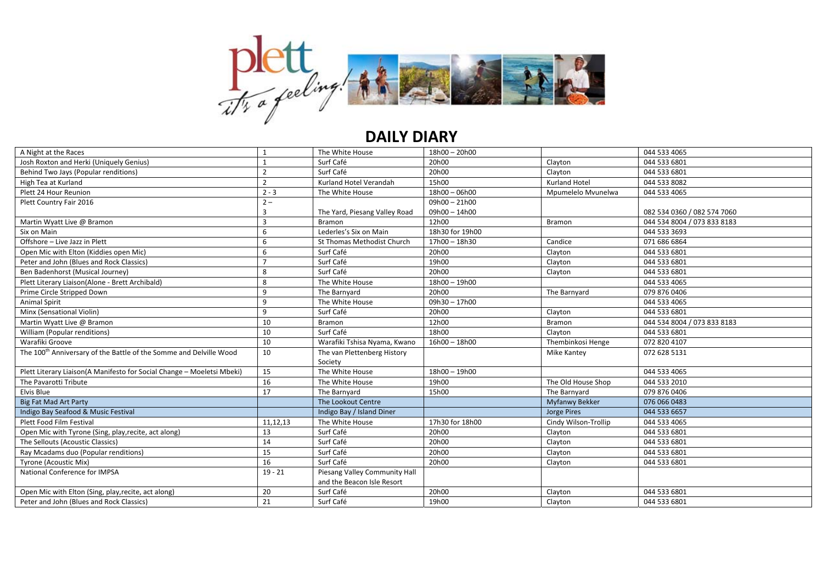

## **DAILY DIARY**

| A Night at the Races                                                           |                | The White House               | 18h00 - 20h00   |                      | 044 533 4065                |
|--------------------------------------------------------------------------------|----------------|-------------------------------|-----------------|----------------------|-----------------------------|
| Josh Roxton and Herki (Uniquely Genius)                                        |                | Surf Café                     | 20h00           | Clayton              | 044 533 6801                |
| Behind Two Jays (Popular renditions)                                           | $\overline{2}$ | Surf Café                     | 20h00           | Clayton              | 044 533 6801                |
| High Tea at Kurland                                                            | $\overline{2}$ | Kurland Hotel Verandah        | 15h00           | <b>Kurland Hotel</b> | 044 533 8082                |
| Plett 24 Hour Reunion                                                          | $2 - 3$        | The White House               | $18h00 - 06h00$ | Mpumelelo Mvunelwa   | 044 533 4065                |
| Plett Country Fair 2016                                                        | $2 -$          |                               | $09h00 - 21h00$ |                      |                             |
|                                                                                | 3              | The Yard, Piesang Valley Road | 09h00 - 14h00   |                      | 082 534 0360 / 082 574 7060 |
| Martin Wyatt Live @ Bramon                                                     | 3              | <b>Bramon</b>                 | 12h00           | <b>Bramon</b>        | 044 534 8004 / 073 833 8183 |
| Six on Main                                                                    | 6              | Lederles's Six on Main        | 18h30 for 19h00 |                      | 044 533 3693                |
| Offshore - Live Jazz in Plett                                                  | 6              | St Thomas Methodist Church    | 17h00 - 18h30   | Candice              | 071 686 6864                |
| Open Mic with Elton (Kiddies open Mic)                                         | 6              | Surf Café                     | 20h00           | Clayton              | 044 533 6801                |
| Peter and John (Blues and Rock Classics)                                       |                | Surf Café                     | 19h00           | Clayton              | 044 533 6801                |
| Ben Badenhorst (Musical Journey)                                               | 8              | Surf Café                     | 20h00           | Clayton              | 044 533 6801                |
| Plett Literary Liaison(Alone - Brett Archibald)                                | 8              | The White House               | 18h00 - 19h00   |                      | 044 533 4065                |
| Prime Circle Stripped Down                                                     | 9              | The Barnyard                  | 20h00           | The Barnyard         | 079 876 0406                |
| Animal Spirit                                                                  | 9              | The White House               | 09h30-17h00     |                      | 044 533 4065                |
| Minx (Sensational Violin)                                                      | 9              | Surf Café                     | 20h00           | Clayton              | 044 533 6801                |
| Martin Wyatt Live @ Bramon                                                     | 10             | <b>Bramon</b>                 | 12h00           | <b>Bramon</b>        | 044 534 8004 / 073 833 8183 |
| William (Popular renditions)                                                   | 10             | Surf Café                     | 18h00           | Clayton              | 044 533 6801                |
| Warafiki Groove                                                                | 10             | Warafiki Tshisa Nyama, Kwano  | $16h00 - 18h00$ | Thembinkosi Henge    | 072 820 4107                |
| The 100 <sup>th</sup> Anniversary of the Battle of the Somme and Delville Wood | 10             | The van Plettenberg History   |                 | Mike Kantey          | 072 628 5131                |
|                                                                                |                | Society                       |                 |                      |                             |
| Plett Literary Liaison(A Manifesto for Social Change - Moeletsi Mbeki)         | 15             | The White House               | $18h00 - 19h00$ |                      | 044 533 4065                |
| The Pavarotti Tribute                                                          | 16             | The White House               | 19h00           | The Old House Shop   | 044 533 2010                |
| Elvis Blue                                                                     | 17             | The Barnyard                  | 15h00           | The Barnyard         | 079 876 0406                |
| <b>Big Fat Mad Art Party</b>                                                   |                | The Lookout Centre            |                 | Myfanwy Bekker       | 076 066 0483                |
| Indigo Bay Seafood & Music Festival                                            |                | Indigo Bay / Island Diner     |                 | Jorge Pires          | 044 533 6657                |
| Plett Food Film Festival                                                       | 11,12,13       | The White House               | 17h30 for 18h00 | Cindy Wilson-Trollip | 044 533 4065                |
| Open Mic with Tyrone (Sing, play, recite, act along)                           | 13             | Surf Café                     | 20h00           | Clayton              | 044 533 6801                |
| The Sellouts (Acoustic Classics)                                               | 14             | Surf Café                     | 20h00           | Clayton              | 044 533 6801                |
| Ray Mcadams duo (Popular renditions)                                           | 15             | Surf Café                     | 20h00           | Clayton              | 044 533 6801                |
| Tyrone (Acoustic Mix)                                                          | 16             | Surf Café                     | 20h00           | Clayton              | 044 533 6801                |
| National Conference for IMPSA                                                  | $19 - 21$      | Piesang Valley Community Hall |                 |                      |                             |
|                                                                                |                | and the Beacon Isle Resort    |                 |                      |                             |
| Open Mic with Elton (Sing, play, recite, act along)                            | 20             | Surf Café                     | 20h00           | Clayton              | 044 533 6801                |
| Peter and John (Blues and Rock Classics)                                       | 21             | Surf Café                     | 19h00           | Clayton              | 044 533 6801                |